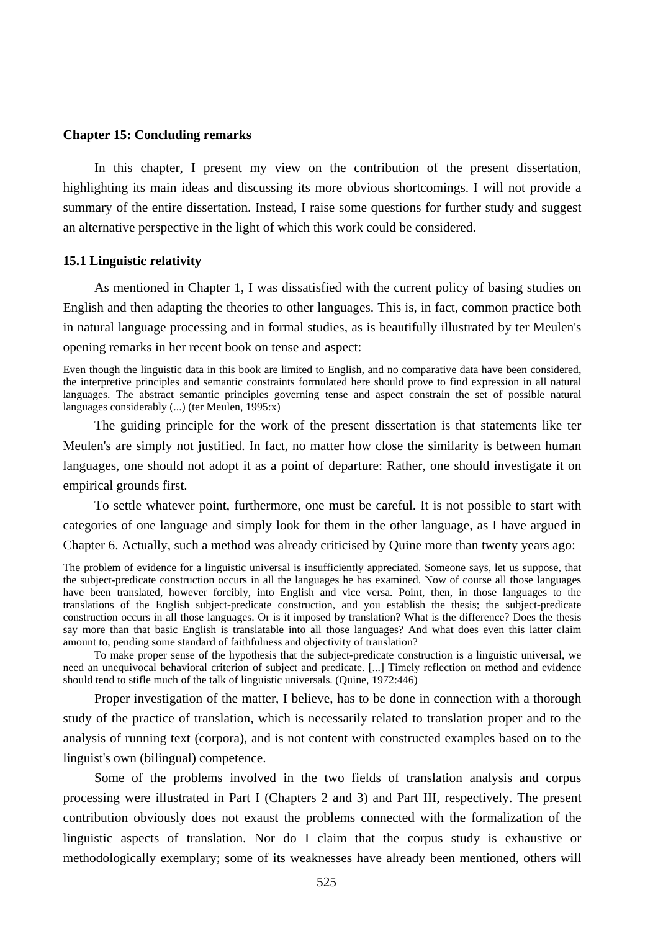#### **Chapter 15: Concluding remarks**

In this chapter, I present my view on the contribution of the present dissertation, highlighting its main ideas and discussing its more obvious shortcomings. I will not provide a summary of the entire dissertation. Instead, I raise some questions for further study and suggest an alternative perspective in the light of which this work could be considered.

### **15.1 Linguistic relativity**

As mentioned in Chapter 1, I was dissatisfied with the current policy of basing studies on English and then adapting the theories to other languages. This is, in fact, common practice both in natural language processing and in formal studies, as is beautifully illustrated by ter Meulen's opening remarks in her recent book on tense and aspect:

Even though the linguistic data in this book are limited to English, and no comparative data have been considered, the interpretive principles and semantic constraints formulated here should prove to find expression in all natural languages. The abstract semantic principles governing tense and aspect constrain the set of possible natural languages considerably (...) (ter Meulen, 1995:x)

The guiding principle for the work of the present dissertation is that statements like ter Meulen's are simply not justified. In fact, no matter how close the similarity is between human languages, one should not adopt it as a point of departure: Rather, one should investigate it on empirical grounds first.

To settle whatever point, furthermore, one must be careful. It is not possible to start with categories of one language and simply look for them in the other language, as I have argued in Chapter 6. Actually, such a method was already criticised by Quine more than twenty years ago:

The problem of evidence for a linguistic universal is insufficiently appreciated. Someone says, let us suppose, that the subject-predicate construction occurs in all the languages he has examined. Now of course all those languages have been translated, however forcibly, into English and vice versa. Point, then, in those languages to the translations of the English subject-predicate construction, and you establish the thesis; the subject-predicate construction occurs in all those languages. Or is it imposed by translation? What is the difference? Does the thesis say more than that basic English is translatable into all those languages? And what does even this latter claim amount to, pending some standard of faithfulness and objectivity of translation?

To make proper sense of the hypothesis that the subject-predicate construction is a linguistic universal, we need an unequivocal behavioral criterion of subject and predicate. [...] Timely reflection on method and evidence should tend to stifle much of the talk of linguistic universals. (Quine, 1972:446)

Proper investigation of the matter, I believe, has to be done in connection with a thorough study of the practice of translation, which is necessarily related to translation proper and to the analysis of running text (corpora), and is not content with constructed examples based on to the linguist's own (bilingual) competence.

Some of the problems involved in the two fields of translation analysis and corpus processing were illustrated in Part I (Chapters 2 and 3) and Part III, respectively. The present contribution obviously does not exaust the problems connected with the formalization of the linguistic aspects of translation. Nor do I claim that the corpus study is exhaustive or methodologically exemplary; some of its weaknesses have already been mentioned, others will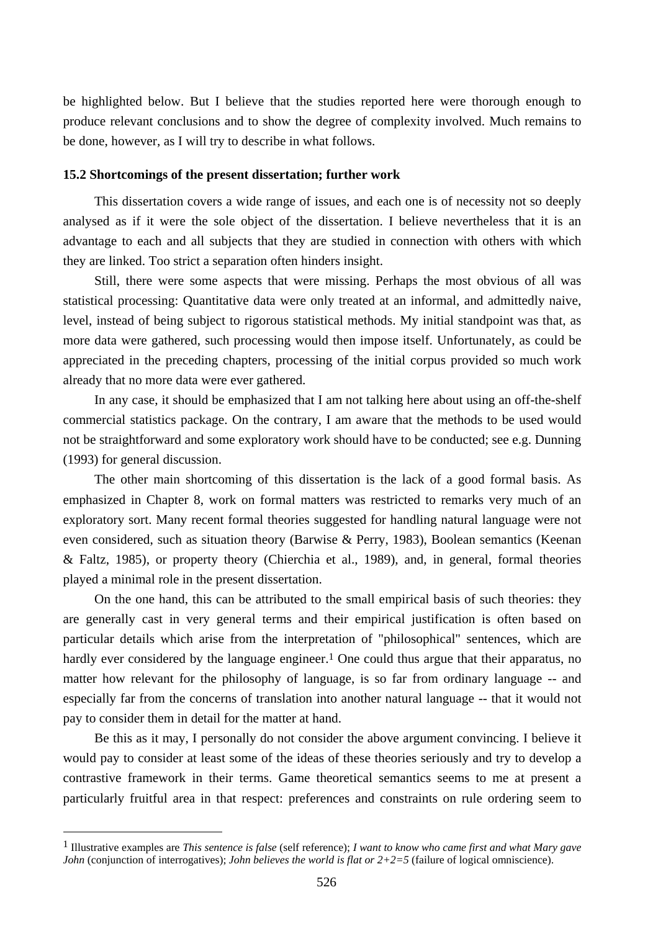be highlighted below. But I believe that the studies reported here were thorough enough to produce relevant conclusions and to show the degree of complexity involved. Much remains to be done, however, as I will try to describe in what follows.

# **15.2 Shortcomings of the present dissertation; further work**

This dissertation covers a wide range of issues, and each one is of necessity not so deeply analysed as if it were the sole object of the dissertation. I believe nevertheless that it is an advantage to each and all subjects that they are studied in connection with others with which they are linked. Too strict a separation often hinders insight.

Still, there were some aspects that were missing. Perhaps the most obvious of all was statistical processing: Quantitative data were only treated at an informal, and admittedly naive, level, instead of being subject to rigorous statistical methods. My initial standpoint was that, as more data were gathered, such processing would then impose itself. Unfortunately, as could be appreciated in the preceding chapters, processing of the initial corpus provided so much work already that no more data were ever gathered.

In any case, it should be emphasized that I am not talking here about using an off-the-shelf commercial statistics package. On the contrary, I am aware that the methods to be used would not be straightforward and some exploratory work should have to be conducted; see e.g. Dunning (1993) for general discussion.

The other main shortcoming of this dissertation is the lack of a good formal basis. As emphasized in Chapter 8, work on formal matters was restricted to remarks very much of an exploratory sort. Many recent formal theories suggested for handling natural language were not even considered, such as situation theory (Barwise & Perry, 1983), Boolean semantics (Keenan & Faltz, 1985), or property theory (Chierchia et al., 1989), and, in general, formal theories played a minimal role in the present dissertation.

On the one hand, this can be attributed to the small empirical basis of such theories: they are generally cast in very general terms and their empirical justification is often based on particular details which arise from the interpretation of "philosophical" sentences, which are hardly ever considered by the language engineer.<sup>1</sup> One could thus argue that their apparatus, no matter how relevant for the philosophy of language, is so far from ordinary language -- and especially far from the concerns of translation into another natural language -- that it would not pay to consider them in detail for the matter at hand.

Be this as it may, I personally do not consider the above argument convincing. I believe it would pay to consider at least some of the ideas of these theories seriously and try to develop a contrastive framework in their terms. Game theoretical semantics seems to me at present a particularly fruitful area in that respect: preferences and constraints on rule ordering seem to

 $\overline{a}$ 

<sup>1</sup> Illustrative examples are *This sentence is false* (self reference); *I want to know who came first and what Mary gave John* (conjunction of interrogatives); *John believes the world is flat or*  $2+2=5$  (failure of logical omniscience).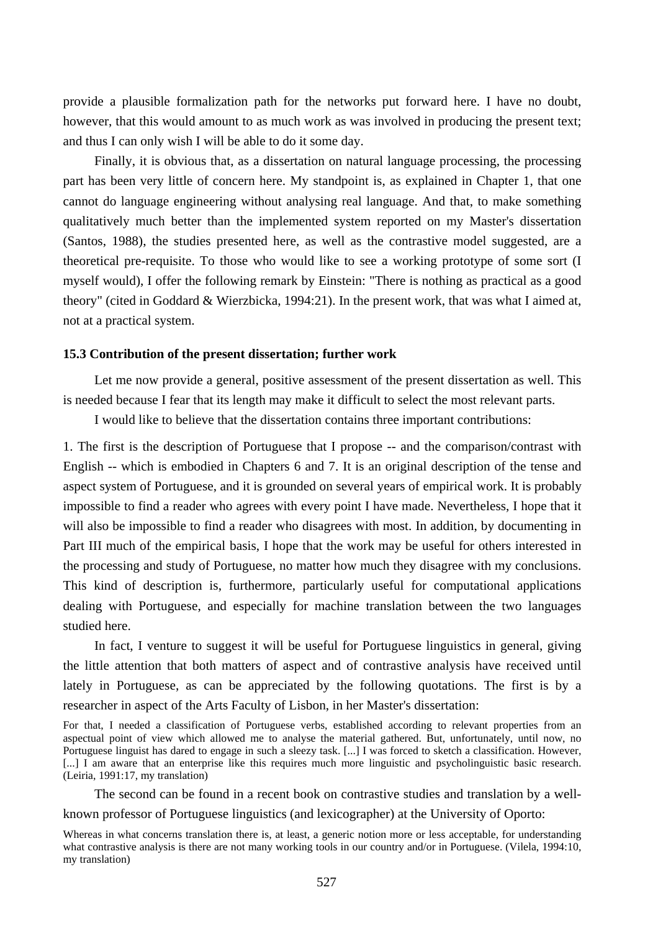provide a plausible formalization path for the networks put forward here. I have no doubt, however, that this would amount to as much work as was involved in producing the present text; and thus I can only wish I will be able to do it some day.

Finally, it is obvious that, as a dissertation on natural language processing, the processing part has been very little of concern here. My standpoint is, as explained in Chapter 1, that one cannot do language engineering without analysing real language. And that, to make something qualitatively much better than the implemented system reported on my Master's dissertation (Santos, 1988), the studies presented here, as well as the contrastive model suggested, are a theoretical pre-requisite. To those who would like to see a working prototype of some sort (I myself would), I offer the following remark by Einstein: "There is nothing as practical as a good theory" (cited in Goddard & Wierzbicka, 1994:21). In the present work, that was what I aimed at, not at a practical system.

#### **15.3 Contribution of the present dissertation; further work**

Let me now provide a general, positive assessment of the present dissertation as well. This is needed because I fear that its length may make it difficult to select the most relevant parts.

I would like to believe that the dissertation contains three important contributions:

1. The first is the description of Portuguese that I propose -- and the comparison/contrast with English -- which is embodied in Chapters 6 and 7. It is an original description of the tense and aspect system of Portuguese, and it is grounded on several years of empirical work. It is probably impossible to find a reader who agrees with every point I have made. Nevertheless, I hope that it will also be impossible to find a reader who disagrees with most. In addition, by documenting in Part III much of the empirical basis, I hope that the work may be useful for others interested in the processing and study of Portuguese, no matter how much they disagree with my conclusions. This kind of description is, furthermore, particularly useful for computational applications dealing with Portuguese, and especially for machine translation between the two languages studied here.

In fact, I venture to suggest it will be useful for Portuguese linguistics in general, giving the little attention that both matters of aspect and of contrastive analysis have received until lately in Portuguese, as can be appreciated by the following quotations. The first is by a researcher in aspect of the Arts Faculty of Lisbon, in her Master's dissertation:

For that, I needed a classification of Portuguese verbs, established according to relevant properties from an aspectual point of view which allowed me to analyse the material gathered. But, unfortunately, until now, no Portuguese linguist has dared to engage in such a sleezy task. [...] I was forced to sketch a classification. However, [...] I am aware that an enterprise like this requires much more linguistic and psycholinguistic basic research. (Leiria, 1991:17, my translation)

The second can be found in a recent book on contrastive studies and translation by a well-

### known professor of Portuguese linguistics (and lexicographer) at the University of Oporto:

Whereas in what concerns translation there is, at least, a generic notion more or less acceptable, for understanding what contrastive analysis is there are not many working tools in our country and/or in Portuguese. (Vilela, 1994:10, my translation)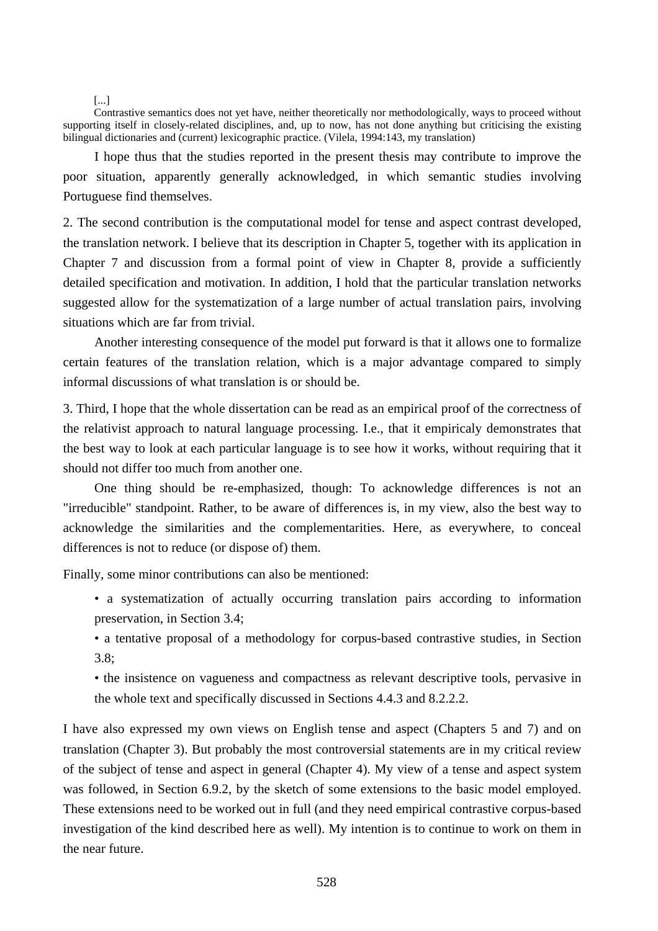[...]

Contrastive semantics does not yet have, neither theoretically nor methodologically, ways to proceed without supporting itself in closely-related disciplines, and, up to now, has not done anything but criticising the existing bilingual dictionaries and (current) lexicographic practice. (Vilela, 1994:143, my translation)

I hope thus that the studies reported in the present thesis may contribute to improve the poor situation, apparently generally acknowledged, in which semantic studies involving Portuguese find themselves.

2. The second contribution is the computational model for tense and aspect contrast developed, the translation network. I believe that its description in Chapter 5, together with its application in Chapter 7 and discussion from a formal point of view in Chapter 8, provide a sufficiently detailed specification and motivation. In addition, I hold that the particular translation networks suggested allow for the systematization of a large number of actual translation pairs, involving situations which are far from trivial.

Another interesting consequence of the model put forward is that it allows one to formalize certain features of the translation relation, which is a major advantage compared to simply informal discussions of what translation is or should be.

3. Third, I hope that the whole dissertation can be read as an empirical proof of the correctness of the relativist approach to natural language processing. I.e., that it empiricaly demonstrates that the best way to look at each particular language is to see how it works, without requiring that it should not differ too much from another one.

One thing should be re-emphasized, though: To acknowledge differences is not an "irreducible" standpoint. Rather, to be aware of differences is, in my view, also the best way to acknowledge the similarities and the complementarities. Here, as everywhere, to conceal differences is not to reduce (or dispose of) them.

Finally, some minor contributions can also be mentioned:

- a systematization of actually occurring translation pairs according to information preservation, in Section 3.4;
- a tentative proposal of a methodology for corpus-based contrastive studies, in Section 3.8;

• the insistence on vagueness and compactness as relevant descriptive tools, pervasive in the whole text and specifically discussed in Sections 4.4.3 and 8.2.2.2.

I have also expressed my own views on English tense and aspect (Chapters 5 and 7) and on translation (Chapter 3). But probably the most controversial statements are in my critical review of the subject of tense and aspect in general (Chapter 4). My view of a tense and aspect system was followed, in Section 6.9.2, by the sketch of some extensions to the basic model employed. These extensions need to be worked out in full (and they need empirical contrastive corpus-based investigation of the kind described here as well). My intention is to continue to work on them in the near future.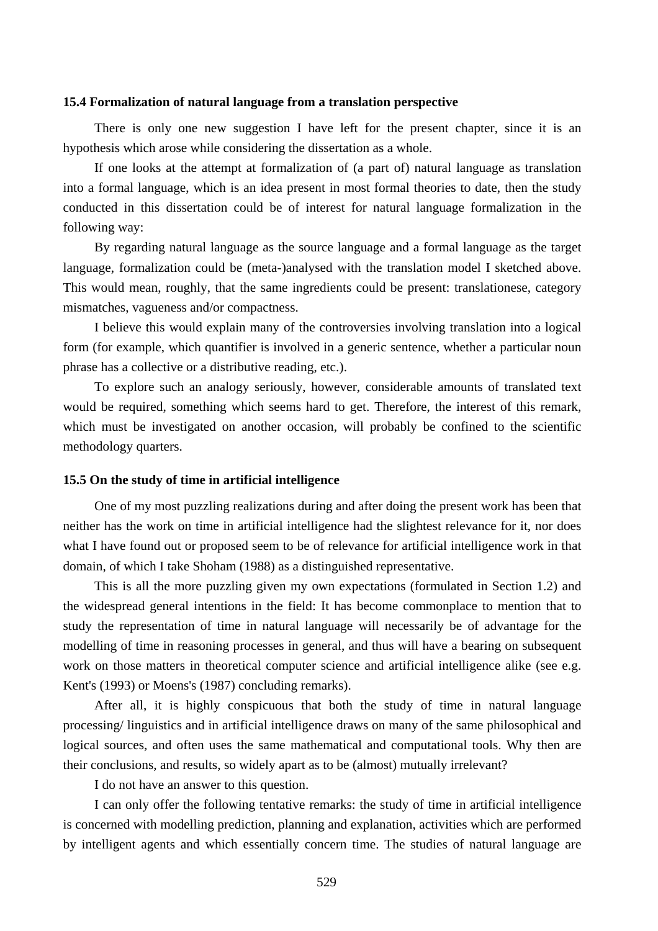# **15.4 Formalization of natural language from a translation perspective**

There is only one new suggestion I have left for the present chapter, since it is an hypothesis which arose while considering the dissertation as a whole.

If one looks at the attempt at formalization of (a part of) natural language as translation into a formal language, which is an idea present in most formal theories to date, then the study conducted in this dissertation could be of interest for natural language formalization in the following way:

By regarding natural language as the source language and a formal language as the target language, formalization could be (meta-)analysed with the translation model I sketched above. This would mean, roughly, that the same ingredients could be present: translationese, category mismatches, vagueness and/or compactness.

I believe this would explain many of the controversies involving translation into a logical form (for example, which quantifier is involved in a generic sentence, whether a particular noun phrase has a collective or a distributive reading, etc.).

To explore such an analogy seriously, however, considerable amounts of translated text would be required, something which seems hard to get. Therefore, the interest of this remark, which must be investigated on another occasion, will probably be confined to the scientific methodology quarters.

### **15.5 On the study of time in artificial intelligence**

One of my most puzzling realizations during and after doing the present work has been that neither has the work on time in artificial intelligence had the slightest relevance for it, nor does what I have found out or proposed seem to be of relevance for artificial intelligence work in that domain, of which I take Shoham (1988) as a distinguished representative.

This is all the more puzzling given my own expectations (formulated in Section 1.2) and the widespread general intentions in the field: It has become commonplace to mention that to study the representation of time in natural language will necessarily be of advantage for the modelling of time in reasoning processes in general, and thus will have a bearing on subsequent work on those matters in theoretical computer science and artificial intelligence alike (see e.g. Kent's (1993) or Moens's (1987) concluding remarks).

After all, it is highly conspicuous that both the study of time in natural language processing/ linguistics and in artificial intelligence draws on many of the same philosophical and logical sources, and often uses the same mathematical and computational tools. Why then are their conclusions, and results, so widely apart as to be (almost) mutually irrelevant?

I do not have an answer to this question.

I can only offer the following tentative remarks: the study of time in artificial intelligence is concerned with modelling prediction, planning and explanation, activities which are performed by intelligent agents and which essentially concern time. The studies of natural language are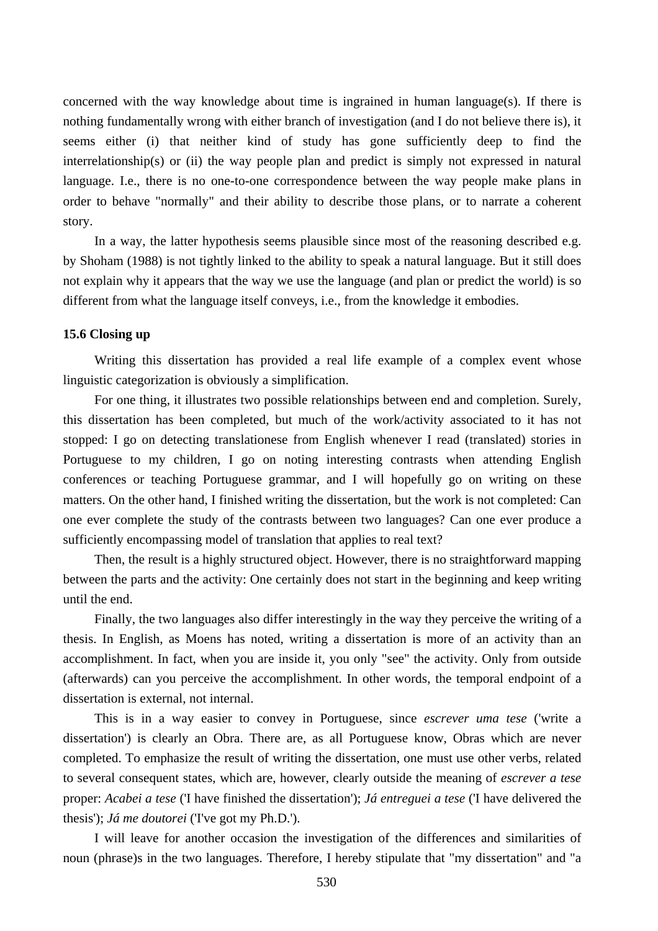concerned with the way knowledge about time is ingrained in human language(s). If there is nothing fundamentally wrong with either branch of investigation (and I do not believe there is), it seems either (i) that neither kind of study has gone sufficiently deep to find the interrelationship(s) or (ii) the way people plan and predict is simply not expressed in natural language. I.e., there is no one-to-one correspondence between the way people make plans in order to behave "normally" and their ability to describe those plans, or to narrate a coherent story.

In a way, the latter hypothesis seems plausible since most of the reasoning described e.g. by Shoham (1988) is not tightly linked to the ability to speak a natural language. But it still does not explain why it appears that the way we use the language (and plan or predict the world) is so different from what the language itself conveys, i.e., from the knowledge it embodies.

# **15.6 Closing up**

Writing this dissertation has provided a real life example of a complex event whose linguistic categorization is obviously a simplification.

For one thing, it illustrates two possible relationships between end and completion. Surely, this dissertation has been completed, but much of the work/activity associated to it has not stopped: I go on detecting translationese from English whenever I read (translated) stories in Portuguese to my children, I go on noting interesting contrasts when attending English conferences or teaching Portuguese grammar, and I will hopefully go on writing on these matters. On the other hand, I finished writing the dissertation, but the work is not completed: Can one ever complete the study of the contrasts between two languages? Can one ever produce a sufficiently encompassing model of translation that applies to real text?

Then, the result is a highly structured object. However, there is no straightforward mapping between the parts and the activity: One certainly does not start in the beginning and keep writing until the end.

Finally, the two languages also differ interestingly in the way they perceive the writing of a thesis. In English, as Moens has noted, writing a dissertation is more of an activity than an accomplishment. In fact, when you are inside it, you only "see" the activity. Only from outside (afterwards) can you perceive the accomplishment. In other words, the temporal endpoint of a dissertation is external, not internal.

This is in a way easier to convey in Portuguese, since *escrever uma tese* ('write a dissertation') is clearly an Obra. There are, as all Portuguese know, Obras which are never completed. To emphasize the result of writing the dissertation, one must use other verbs, related to several consequent states, which are, however, clearly outside the meaning of *escrever a tese* proper: *Acabei a tese* ('I have finished the dissertation'); *Já entreguei a tese* ('I have delivered the thesis'); *Já me doutorei* ('I've got my Ph.D.').

I will leave for another occasion the investigation of the differences and similarities of noun (phrase)s in the two languages. Therefore, I hereby stipulate that "my dissertation" and "a